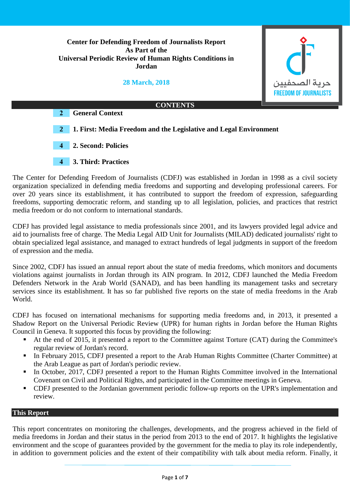**Center for Defending Freedom of Journalists Report As Part of the Universal Periodic Review of Human Rights Conditions in Jordan**

**28 March, 2018**



The Center for Defending Freedom of Journalists (CDFJ) was established in Jordan in 1998 as a civil society organization specialized in defending media freedoms and supporting and developing professional careers. For over 20 years since its establishment, it has contributed to support the freedom of expression, safeguarding freedoms, supporting democratic reform, and standing up to all legislation, policies, and practices that restrict media freedom or do not conform to international standards.

CDFJ has provided legal assistance to media professionals since 2001, and its lawyers provided legal advice and aid to journalists free of charge. The Media Legal AID Unit for Journalists (MILAD) dedicated journalists' right to obtain specialized legal assistance, and managed to extract hundreds of legal judgments in support of the freedom of expression and the media.

Since 2002, CDFJ has issued an annual report about the state of media freedoms, which monitors and documents violations against journalists in Jordan through its AIN program. In 2012, CDFJ launched the Media Freedom Defenders Network in the Arab World (SANAD), and has been handling its management tasks and secretary services since its establishment. It has so far published five reports on the state of media freedoms in the Arab World.

CDFJ has focused on international mechanisms for supporting media freedoms and, in 2013, it presented a Shadow Report on the Universal Periodic Review (UPR) for human rights in Jordan before the Human Rights Council in Geneva. It supported this focus by providing the following:

- At the end of 2015, it presented a report to the Committee against Torture (CAT) during the Committee's regular review of Jordan's record.
- In February 2015, CDFJ presented a report to the Arab Human Rights Committee (Charter Committee) at the Arab League as part of Jordan's periodic review.
- In October, 2017, CDFJ presented a report to the Human Rights Committee involved in the International Covenant on Civil and Political Rights, and participated in the Committee meetings in Geneva.
- CDFJ presented to the Jordanian government periodic follow-up reports on the UPR's implementation and review.

# **This Report**

This report concentrates on monitoring the challenges, developments, and the progress achieved in the field of media freedoms in Jordan and their status in the period from 2013 to the end of 2017. It highlights the legislative environment and the scope of guarantees provided by the government for the media to play its role independently, in addition to government policies and the extent of their compatibility with talk about media reform. Finally, it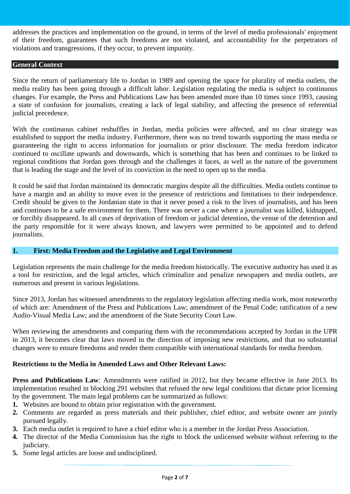addresses the practices and implementation on the ground, in terms of the level of media professionals' enjoyment of their freedom, guarantees that such freedoms are not violated, and accountability for the perpetrators of violations and transgressions, if they occur, to prevent impunity.

### **General Context**

Since the return of parliamentary life to Jordan in 1989 and opening the space for plurality of media outlets, the media reality has been going through a difficult labor. Legislation regulating the media is subject to continuous changes. For example, the Press and Publications Law has been amended more than 10 times since 1993, causing a state of confusion for journalists, creating a lack of legal stability, and affecting the presence of referential judicial precedence.

With the continuous cabinet reshuffles in Jordan, media policies were affected, and no clear strategy was established to support the media industry. Furthermore, there was no trend towards supporting the mass media or guaranteeing the right to access information for journalists or prior disclosure. The media freedom indicator continued to oscillate upwards and downwards, which is something that has been and continues to be linked to regional conditions that Jordan goes through and the challenges it faces, as well as the nature of the government that is leading the stage and the level of its conviction in the need to open up to the media.

It could be said that Jordan maintained its democratic margins despite all the difficulties. Media outlets continue to have a margin and an ability to move even in the presence of restrictions and limitations to their independence. Credit should be given to the Jordanian state in that it never posed a risk to the lives of journalists, and has been and continues to be a safe environment for them. There was never a case where a journalist was killed, kidnapped, or forcibly disappeared. In all cases of deprivation of freedom or judicial detention, the venue of the detention and the party responsible for it were always known, and lawyers were permitted to be appointed and to defend journalists.

## **1. First: Media Freedom and the Legislative and Legal Environment**

Legislation represents the main challenge for the media freedom historically. The executive authority has used it as a tool for restriction, and the legal articles, which criminalize and penalize newspapers and media outlets, are numerous and present in various legislations.

Since 2013, Jordan has witnessed amendments to the regulatory legislation affecting media work, most noteworthy of which are: Amendment of the Press and Publications Law; amendment of the Penal Code; ratification of a new Audio-Visual Media Law; and the amendment of the State Security Court Law.

When reviewing the amendments and comparing them with the recommendations accepted by Jordan in the UPR in 2013, it becomes clear that laws moved in the direction of imposing new restrictions, and that no substantial changes were to ensure freedoms and render them compatible with international standards for media freedom.

## **Restrictions to the Media in Amended Laws and Other Relevant Laws:**

**Press and Publications Law**: Amendments were ratified in 2012, but they became effective in June 2013. Its implementation resulted in blocking 291 websites that refused the new legal conditions that dictate prior licensing by the government. The main legal problems can be summarized as follows:

- **1.** Websites are bound to obtain prior registration with the government.
- **2.** Comments are regarded as press materials and their publisher, chief editor, and website owner are jointly pursued legally.
- **3.** Each media outlet is required to have a chief editor who is a member in the Jordan Press Association.
- **4.** The director of the Media Commission has the right to block the unlicensed website without referring to the judiciary.
- **5.** Some legal articles are loose and undisciplined.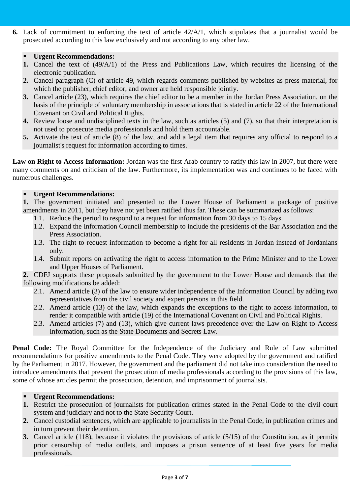**6.** Lack of commitment to enforcing the text of article 42/A/1, which stipulates that a journalist would be prosecuted according to this law exclusively and not according to any other law.

# **Urgent Recommendations:**

- **1.** Cancel the text of (49/A/1) of the Press and Publications Law, which requires the licensing of the electronic publication.
- **2.** Cancel paragraph (C) of article 49, which regards comments published by websites as press material, for which the publisher, chief editor, and owner are held responsible jointly.
- **3.** Cancel article (23), which requires the chief editor to be a member in the Jordan Press Association, on the basis of the principle of voluntary membership in associations that is stated in article 22 of the International Covenant on Civil and Political Rights.
- **4.** Review loose and undisciplined texts in the law, such as articles (5) and (7), so that their interpretation is not used to prosecute media professionals and hold them accountable.
- **5.** Activate the text of article (8) of the law, and add a legal item that requires any official to respond to a journalist's request for information according to times.

**Law on Right to Access Information:** Jordan was the first Arab country to ratify this law in 2007, but there were many comments on and criticism of the law. Furthermore, its implementation was and continues to be faced with numerous challenges.

## **Urgent Recommendations:**

**1.** The government initiated and presented to the Lower House of Parliament a package of positive amendments in 2011, but they have not yet been ratified thus far. These can be summarized as follows:

- 1.1. Reduce the period to respond to a request for information from 30 days to 15 days.
- 1.2. Expand the Information Council membership to include the presidents of the Bar Association and the Press Association.
- 1.3. The right to request information to become a right for all residents in Jordan instead of Jordanians only.
- 1.4. Submit reports on activating the right to access information to the Prime Minister and to the Lower and Upper Houses of Parliament.

**2.** CDFJ supports these proposals submitted by the government to the Lower House and demands that the following modifications be added:

- 2.1. Amend article (3) of the law to ensure wider independence of the Information Council by adding two representatives from the civil society and expert persons in this field.
- 2.2. Amend article (13) of the law, which expands the exceptions to the right to access information, to render it compatible with article (19) of the International Covenant on Civil and Political Rights.
- 2.3. Amend articles (7) and (13), which give current laws precedence over the Law on Right to Access Information, such as the State Documents and Secrets Law.

Penal Code: The Royal Committee for the Independence of the Judiciary and Rule of Law submitted recommendations for positive amendments to the Penal Code. They were adopted by the government and ratified by the Parliament in 2017. However, the government and the parliament did not take into consideration the need to introduce amendments that prevent the prosecution of media professionals according to the provisions of this law, some of whose articles permit the prosecution, detention, and imprisonment of journalists.

## **Urgent Recommendations:**

- **1.** Restrict the prosecution of journalists for publication crimes stated in the Penal Code to the civil court system and judiciary and not to the State Security Court.
- **2.** Cancel custodial sentences, which are applicable to journalists in the Penal Code, in publication crimes and in turn prevent their detention.
- **3.** Cancel article (118), because it violates the provisions of article (5/15) of the Constitution, as it permits prior censorship of media outlets, and imposes a prison sentence of at least five years for media professionals.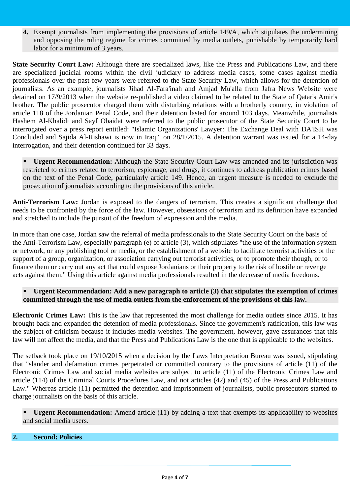**4.** Exempt journalists from implementing the provisions of article 149/A, which stipulates the undermining and opposing the ruling regime for crimes committed by media outlets, punishable by temporarily hard labor for a minimum of 3 years.

**State Security Court Law:** Although there are specialized laws, like the Press and Publications Law, and there are specialized judicial rooms within the civil judiciary to address media cases, some cases against media professionals over the past few years were referred to the State Security Law, which allows for the detention of journalists. As an example, journalists Jihad Al-Fara'inah and Amjad Mu'alla from Jafra News Website were detained on 17/9/2013 when the website re-published a video claimed to be related to the State of Qatar's Amir's brother. The public prosecutor charged them with disturbing relations with a brotherly country, in violation of article 118 of the Jordanian Penal Code, and their detention lasted for around 103 days. Meanwhile, journalists Hashem Al-Khalidi and Sayf Obaidat were referred to the public prosecutor of the State Security Court to be interrogated over a press report entitled: "Islamic Organizations' Lawyer: The Exchange Deal with DA'ISH was Concluded and Sajida Al-Rishawi is now in Iraq," on 28/1/2015. A detention warrant was issued for a 14-day interrogation, and their detention continued for 33 days.

 **Urgent Recommendation:** Although the State Security Court Law was amended and its jurisdiction was restricted to crimes related to terrorism, espionage, and drugs, it continues to address publication crimes based on the text of the Penal Code, particularly article 149. Hence, an urgent measure is needed to exclude the prosecution of journalists according to the provisions of this article.

**Anti-Terrorism Law:** Jordan is exposed to the dangers of terrorism. This creates a significant challenge that needs to be confronted by the force of the law. However, obsessions of terrorism and its definition have expanded and stretched to include the pursuit of the freedom of expression and the media.

In more than one case, Jordan saw the referral of media professionals to the State Security Court on the basis of the Anti-Terrorism Law, especially paragraph (e) of article (3), which stipulates "the use of the information system or network, or any publishing tool or media, or the establishment of a website to facilitate terrorist activities or the support of a group, organization, or association carrying out terrorist activities, or to promote their though, or to finance them or carry out any act that could expose Jordanians or their property to the risk of hostile or revenge acts against them." Using this article against media professionals resulted in the decrease of media freedoms.

# **Urgent Recommendation: Add a new paragraph to article (3) that stipulates the exemption of crimes committed through the use of media outlets from the enforcement of the provisions of this law.**

**Electronic Crimes Law:** This is the law that represented the most challenge for media outlets since 2015. It has brought back and expanded the detention of media professionals. Since the government's ratification, this law was the subject of criticism because it includes media websites. The government, however, gave assurances that this law will not affect the media, and that the Press and Publications Law is the one that is applicable to the websites.

The setback took place on 19/10/2015 when a decision by the Laws Interpretation Bureau was issued, stipulating that "slander and defamation crimes perpetrated or committed contrary to the provisions of article (11) of the Electronic Crimes Law and social media websites are subject to article (11) of the Electronic Crimes Law and article (114) of the Criminal Courts Procedures Law, and not articles (42) and (45) of the Press and Publications Law." Whereas article (11) permitted the detention and imprisonment of journalists, public prosecutors started to charge journalists on the basis of this article.

 **Urgent Recommendation:** Amend article (11) by adding a text that exempts its applicability to websites and social media users.

# **2. Second: Policies**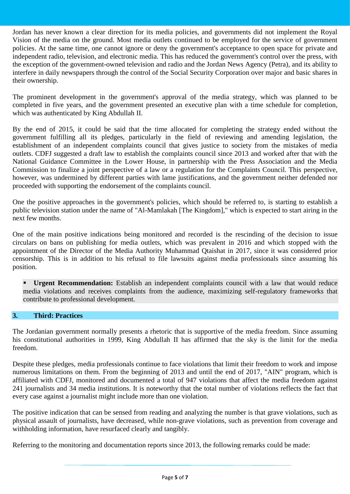Jordan has never known a clear direction for its media policies, and governments did not implement the Royal Vision of the media on the ground. Most media outlets continued to be employed for the service of government policies. At the same time, one cannot ignore or deny the government's acceptance to open space for private and independent radio, television, and electronic media. This has reduced the government's control over the press, with the exception of the government-owned television and radio and the Jordan News Agency (Petra), and its ability to interfere in daily newspapers through the control of the Social Security Corporation over major and basic shares in their ownership.

The prominent development in the government's approval of the media strategy, which was planned to be completed in five years, and the government presented an executive plan with a time schedule for completion, which was authenticated by King Abdullah II.

By the end of 2015, it could be said that the time allocated for completing the strategy ended without the government fulfilling all its pledges, particularly in the field of reviewing and amending legislation, the establishment of an independent complaints council that gives justice to society from the mistakes of media outlets. CDFJ suggested a draft law to establish the complaints council since 2013 and worked after that with the National Guidance Committee in the Lower House, in partnership with the Press Association and the Media Commission to finalize a joint perspective of a law or a regulation for the Complaints Council. This perspective, however, was undermined by different parties with lame justifications, and the government neither defended nor proceeded with supporting the endorsement of the complaints council.

One the positive approaches in the government's policies, which should be referred to, is starting to establish a public television station under the name of "Al-Mamlakah [The Kingdom]," which is expected to start airing in the next few months.

One of the main positive indications being monitored and recorded is the rescinding of the decision to issue circulars on bans on publishing for media outlets, which was prevalent in 2016 and which stopped with the appointment of the Director of the Media Authority Muhammad Qtaishat in 2017, since it was considered prior censorship. This is in addition to his refusal to file lawsuits against media professionals since assuming his position.

**Urgent Recommendation:** Establish an independent complaints council with a law that would reduce media violations and receives complaints from the audience, maximizing self-regulatory frameworks that contribute to professional development.

# **3. Third: Practices**

The Jordanian government normally presents a rhetoric that is supportive of the media freedom. Since assuming his constitutional authorities in 1999, King Abdullah II has affirmed that the sky is the limit for the media freedom.

Despite these pledges, media professionals continue to face violations that limit their freedom to work and impose numerous limitations on them. From the beginning of 2013 and until the end of 2017, "AIN" program, which is affiliated with CDFJ, monitored and documented a total of 947 violations that affect the media freedom against 241 journalists and 34 media institutions. It is noteworthy that the total number of violations reflects the fact that every case against a journalist might include more than one violation.

The positive indication that can be sensed from reading and analyzing the number is that grave violations, such as physical assault of journalists, have decreased, while non-grave violations, such as prevention from coverage and withholding information, have resurfaced clearly and tangibly.

Referring to the monitoring and documentation reports since 2013, the following remarks could be made: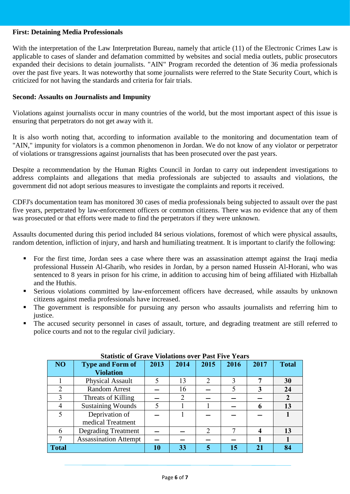#### **First: Detaining Media Professionals**

With the interpretation of the Law Interpretation Bureau, namely that article (11) of the Electronic Crimes Law is applicable to cases of slander and defamation committed by websites and social media outlets, public prosecutors expanded their decisions to detain journalists. "AIN" Program recorded the detention of 36 media professionals over the past five years. It was noteworthy that some journalists were referred to the State Security Court, which is criticized for not having the standards and criteria for fair trials.

#### **Second: Assaults on Journalists and Impunity**

Violations against journalists occur in many countries of the world, but the most important aspect of this issue is ensuring that perpetrators do not get away with it.

It is also worth noting that, according to information available to the monitoring and documentation team of "AIN," impunity for violators is a common phenomenon in Jordan. We do not know of any violator or perpetrator of violations or transgressions against journalists that has been prosecuted over the past years.

Despite a recommendation by the Human Rights Council in Jordan to carry out independent investigations to address complaints and allegations that media professionals are subjected to assaults and violations, the government did not adopt serious measures to investigate the complaints and reports it received.

CDFJ's documentation team has monitored 30 cases of media professionals being subjected to assault over the past five years, perpetrated by law-enforcement officers or common citizens. There was no evidence that any of them was prosecuted or that efforts were made to find the perpetrators if they were unknown.

Assaults documented during this period included 84 serious violations, foremost of which were physical assaults, random detention, infliction of injury, and harsh and humiliating treatment. It is important to clarify the following:

- For the first time, Jordan sees a case where there was an assassination attempt against the Iraqi media professional Hussein Al-Gharib, who resides in Jordan, by a person named Hussein Al-Horani, who was sentenced to 8 years in prison for his crime, in addition to accusing him of being affiliated with Hizballah and the Huthis.
- Serious violations committed by law-enforcement officers have decreased, while assaults by unknown citizens against media professionals have increased.
- The government is responsible for pursuing any person who assaults journalists and referring him to justice.
- The accused security personnel in cases of assault, torture, and degrading treatment are still referred to police courts and not to the regular civil judiciary.

| Statistic of Grave Violations over Past Five Years |                              |      |                |      |      |      |                  |
|----------------------------------------------------|------------------------------|------|----------------|------|------|------|------------------|
| NO <sub>1</sub>                                    | <b>Type and Form of</b>      | 2013 | 2014           | 2015 | 2016 | 2017 | <b>Total</b>     |
|                                                    | <b>Violation</b>             |      |                |      |      |      |                  |
|                                                    | Physical Assault             |      | 13             |      | 3    |      | 30               |
|                                                    | <b>Random Arrest</b>         |      | 16             |      |      | 3    | 24               |
| 3                                                  | Threats of Killing           |      | $\overline{2}$ |      |      |      | $\boldsymbol{2}$ |
| 4                                                  | <b>Sustaining Wounds</b>     | 5    |                |      |      | 6    | 13               |
|                                                    | Deprivation of               |      |                |      |      |      |                  |
|                                                    | medical Treatment            |      |                |      |      |      |                  |
| 6                                                  | <b>Degrading Treatment</b>   |      |                |      |      |      | 13               |
|                                                    | <b>Assassination Attempt</b> |      |                |      |      |      |                  |
| Total                                              |                              | 10   | 33             |      | 15   | 21   | 84               |

## **Statistic of Grave Violations over Past Five Years**